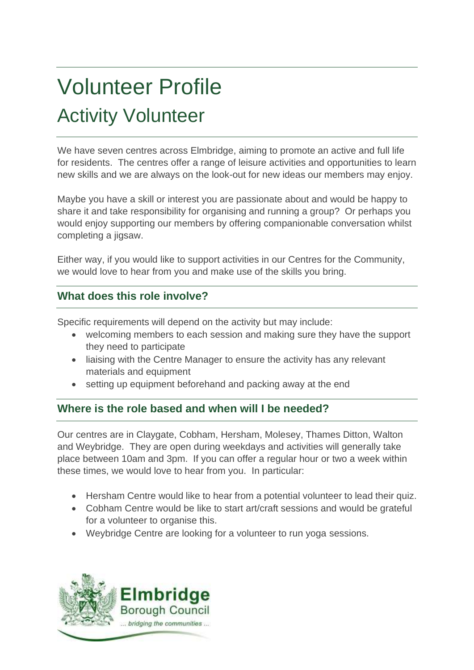# Volunteer Profile Activity Volunteer

We have seven centres across Elmbridge, aiming to promote an active and full life for residents. The centres offer a range of leisure activities and opportunities to learn new skills and we are always on the look-out for new ideas our members may enjoy.

Maybe you have a skill or interest you are passionate about and would be happy to share it and take responsibility for organising and running a group? Or perhaps you would enjoy supporting our members by offering companionable conversation whilst completing a jigsaw.

Either way, if you would like to support activities in our Centres for the Community, we would love to hear from you and make use of the skills you bring.

## **What does this role involve?**

Specific requirements will depend on the activity but may include:

- welcoming members to each session and making sure they have the support they need to participate
- liaising with the Centre Manager to ensure the activity has any relevant materials and equipment
- setting up equipment beforehand and packing away at the end

## **Where is the role based and when will I be needed?**

Our centres are in Claygate, Cobham, Hersham, Molesey, Thames Ditton, Walton and Weybridge. They are open during weekdays and activities will generally take place between 10am and 3pm. If you can offer a regular hour or two a week within these times, we would love to hear from you. In particular:

- Hersham Centre would like to hear from a potential volunteer to lead their quiz.
- Cobham Centre would be like to start art/craft sessions and would be grateful for a volunteer to organise this.
- Weybridge Centre are looking for a volunteer to run yoga sessions.